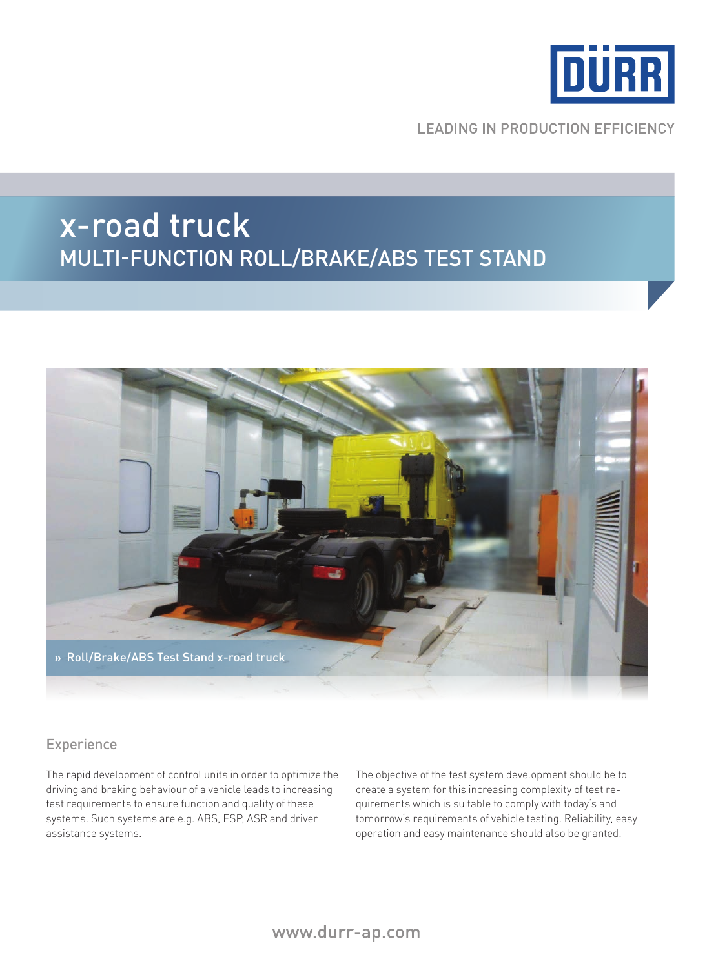

**LEADING IN PRODUCTION EFFICIENCY** 

# x-road truck Multi-function roll/brake/abs test stand



### Experience

The rapid development of control units in order to optimize the driving and braking behaviour of a vehicle leads to increasing test requirements to ensure function and quality of these systems. Such systems are e.g. ABS, ESP, ASR and driver assistance systems.

The objective of the test system development should be to create a system for this increasing complexity of test requirements which is suitable to comply with today's and tomorrow's requirements of vehicle testing. Reliability, easy operation and easy maintenance should also be granted.